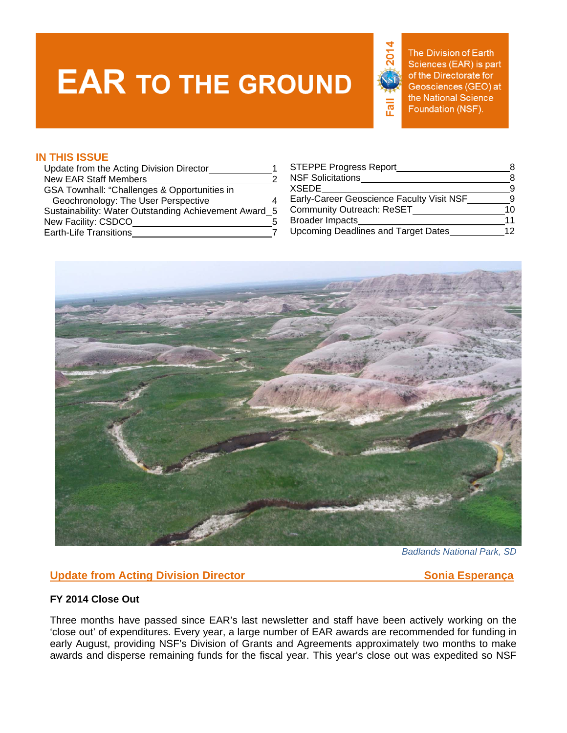# **EAR TO THE GROUND**



The Division of Earth Sciences (EAR) is part of the Directorate for Geosciences (GEO) at the National Science Foundation (NSF).

### **IN THIS ISSUE**

| Update from the Acting Division Director              | <b>STEPPE Progress Report</b>             |          |
|-------------------------------------------------------|-------------------------------------------|----------|
| New EAR Staff Members                                 | <b>NSF Solicitations</b>                  |          |
| GSA Townhall: "Challenges & Opportunities in          | <b>XSEDE</b>                              | <b>9</b> |
| Geochronology: The User Perspective                   | Early-Career Geoscience Faculty Visit NSF | <b>Q</b> |
| Sustainability: Water Outstanding Achievement Award 5 | <b>Community Outreach: ReSET</b>          | 10.      |
| New Facility: CSDCO                                   | <b>Broader Impacts</b>                    | 11       |
| <b>Earth-Life Transitions</b>                         | Upcoming Deadlines and Target Dates       | 12       |

| Update from the Acting Division Director              | <b>STEPPE Progress Report</b>             | 8  |
|-------------------------------------------------------|-------------------------------------------|----|
| New EAR Staff Members                                 | <b>NSF Solicitations</b>                  | 8  |
| GSA Townhall: "Challenges & Opportunities in          | <b>XSEDE</b>                              | -9 |
| Geochronology: The User Perspective                   | Early-Career Geoscience Faculty Visit NSF | Q  |
| Sustainability: Water Outstanding Achievement Award 5 | <b>Community Outreach: ReSET</b>          | 10 |
| New Facility: CSDCO                                   | <b>Broader Impacts</b>                    | 11 |
| <b>Earth-Life Transitions</b>                         | Upcoming Deadlines and Target Dates       | 12 |
|                                                       |                                           |    |



*Badlands National Park, SD* 

### **Update from Acting Division Director Contract Contract Contract Contract Contract Contract Contract Contract Contract Contract Contract Contract Contract Contract Contract Contract Contract Contract Contract Contract Cont**

### **FY 2014 Close Out**

Three months have passed since EAR's last newsletter and staff have been actively working on the 'close out' of expenditures. Every year, a large number of EAR awards are recommended for funding in early August, providing NSF's Division of Grants and Agreements approximately two months to make awards and disperse remaining funds for the fiscal year. This year's close out was expedited so NSF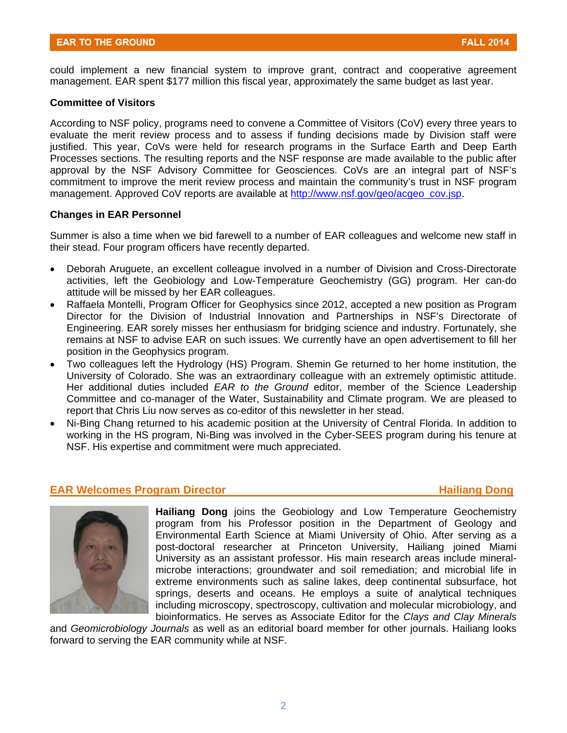could implement a new financial system to improve grant, contract and cooperative agreement management. EAR spent \$177 million this fiscal year, approximately the same budget as last year.

#### **Committee of Visitors**

According to NSF policy, programs need to convene a Committee of Visitors (CoV) every three years to evaluate the merit review process and to assess if funding decisions made by Division staff were justified. This year, CoVs were held for research programs in the Surface Earth and Deep Earth Processes sections. The resulting reports and the NSF response are made available to the public after approval by the NSF Advisory Committee for Geosciences. CoVs are an integral part of NSF's commitment to improve the merit review process and maintain the community's trust in NSF program management. Approved CoV reports are available at http://www.nsf.gov/geo/acgeo\_cov.jsp.

#### **Changes in EAR Personnel**

Summer is also a time when we bid farewell to a number of EAR colleagues and welcome new staff in their stead. Four program officers have recently departed.

- Deborah Aruguete, an excellent colleague involved in a number of Division and Cross-Directorate activities, left the Geobiology and Low-Temperature Geochemistry (GG) program. Her can-do attitude will be missed by her EAR colleagues.
- Raffaela Montelli, Program Officer for Geophysics since 2012, accepted a new position as Program Director for the Division of Industrial Innovation and Partnerships in NSF's Directorate of Engineering. EAR sorely misses her enthusiasm for bridging science and industry. Fortunately, she remains at NSF to advise EAR on such issues. We currently have an open advertisement to fill her position in the Geophysics program.
- Two colleagues left the Hydrology (HS) Program. Shemin Ge returned to her home institution, the University of Colorado. She was an extraordinary colleague with an extremely optimistic attitude. Her additional duties included *EAR to the Ground* editor, member of the Science Leadership Committee and co-manager of the Water, Sustainability and Climate program. We are pleased to report that Chris Liu now serves as co-editor of this newsletter in her stead.
- Ni-Bing Chang returned to his academic position at the University of Central Florida. In addition to working in the HS program, Ni-Bing was involved in the Cyber-SEES program during his tenure at NSF. His expertise and commitment were much appreciated.

#### **EAR Welcomes Program Director Hailiang Dong**



 post-doctoral researcher at Princeton University, Hailiang joined Miami **Hailiang Dong** joins the Geobiology and Low Temperature Geochemistry program from his Professor position in the Department of Geology and Environmental Earth Science at Miami University of Ohio. After serving as a University as an assistant professor. His main research areas include mineralmicrobe interactions; groundwater and soil remediation; and microbial life in extreme environments such as saline lakes, deep continental subsurface, hot springs, deserts and oceans. He employs a suite of analytical techniques including microscopy, spectroscopy, cultivation and molecular microbiology, and bioinformatics. He serves as Associate Editor for the *Clays and Clay Minerals* 

and *Geomicrobiology Journals* as well as an editorial board member for other journals. Hailiang looks forward to serving the EAR community while at NSF.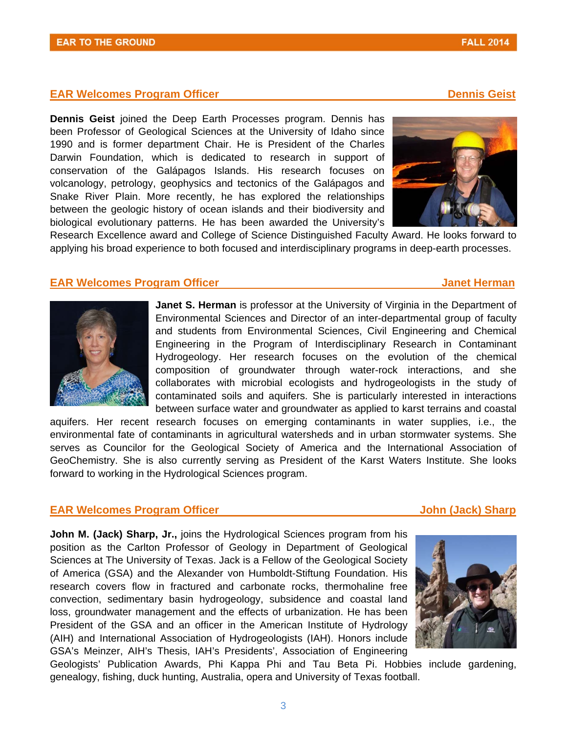#### **EAR Welcomes Program Officer Community Community Community Community Community Community Community Community Community Community Community Community Community Community Community Community Community Community Community Co**

**Dennis Geist** joined the Deep Earth Processes program. Dennis has been Professor of Geological Sciences at the University of Idaho since 1990 and is former department Chair. He is President of the Charles Darwin Foundation, which is dedicated to research in support of conservation of the Galápagos Islands. His research focuses on volcanology, petrology, geophysics and tectonics of the Galápagos and Snake River Plain. More recently, he has explored the relationships between the geologic history of ocean islands and their biodiversity and biological evolutionary patterns. He has been awarded the University's





Research Excellence award and College of Science Distinguished Faculty Award. He looks forward to applying his broad experience to both focused and interdisciplinary programs in deep-earth processes.

#### **EAR Welcomes Program Officer All Accords** And According to the Manual Accords and Accords and Accords and Accords Accords and Accords and Accords and Accords and Accords and Accords and Accords and Accords and Accords and



**Janet S. Herman** is professor at the University of Virginia in the Department of Environmental Sciences and Director of an inter-departmental group of faculty and students from Environmental Sciences, Civil Engineering and Chemical Engineering in the Program of Interdisciplinary Research in Contaminant Hydrogeology. Her research focuses on the evolution of the chemical composition of groundwater through water-rock interactions, and she collaborates with microbial ecologists and hydrogeologists in the study of contaminated soils and aquifers. She is particularly interested in interactions between surface water and groundwater as applied to karst terrains and coastal

aquifers. Her recent research focuses on emerging contaminants in water supplies, i.e., the environmental fate of contaminants in agricultural watersheds and in urban stormwater systems. She serves as Councilor for the Geological Society of America and the International Association of GeoChemistry. She is also currently serving as President of the Karst Waters Institute. She looks forward to working in the Hydrological Sciences program.

#### **EAR Welcomes Program Officer Community Community Community Community Community Community Community Community Community Community Community Community Community Community Community Community Community Community Community Co**

**John M. (Jack) Sharp, Jr.,** joins the Hydrological Sciences program from his position as the Carlton Professor of Geology in Department of Geological Sciences at The University of Texas. Jack is a Fellow of the Geological Society of America (GSA) and the Alexander von Humboldt-Stiftung Foundation. His research covers flow in fractured and carbonate rocks, thermohaline free convection, sedimentary basin hydrogeology, subsidence and coastal land loss, groundwater management and the effects of urbanization. He has been President of the GSA and an officer in the American Institute of Hydrology (AIH) and International Association of Hydrogeologists (IAH). Honors include GSA's Meinzer, AIH's Thesis, IAH's Presidents', Association of Engineering



Geologists' Publication Awards, Phi Kappa Phi and Tau Beta Pi. Hobbies include gardening, genealogy, fishing, duck hunting, Australia, opera and University of Texas football.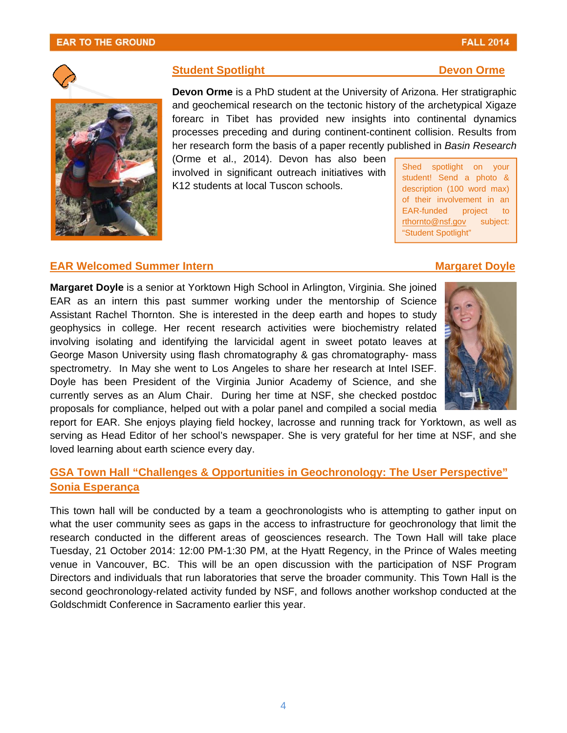#### **EAR TO THE GROUND**

4

# **EAR Welcomed Summer Intern Margaret Doyle Margaret Doyle**

**Margaret Doyle** is a senior at Yorktown High School in Arlington, Virginia. She joined EAR as an intern this past summer working under the mentorship of Science Assistant Rachel Thornton. She is interested in the deep earth and hopes to study geophysics in college. Her recent research activities were biochemistry related involving isolating and identifying the larvicidal agent in sweet potato leaves at George Mason University using flash chromatography & gas chromatography- mass spectrometry. In May she went to Los Angeles to share her research at Intel ISEF. Doyle has been President of the Virginia Junior Academy of Science, and she currently serves as an Alum Chair. During her time at NSF, she checked postdoc proposals for compliance, helped out with a polar panel and compiled a social media

report for EAR. She enjoys playing field hockey, lacrosse and running track for Yorktown, as well as serving as Head Editor of her school's newspaper. She is very grateful for her time at NSF, and she loved learning about earth science every day.

### **GSA Town Hall "Challenges & Opportunities in Geochronology: The User Perspective" Sonia Esperança**

This town hall will be conducted by a team a geochronologists who is attempting to gather input on what the user community sees as gaps in the access to infrastructure for geochronology that limit the research conducted in the different areas of geosciences research. The Town Hall will take place Tuesday, 21 October 2014: 12:00 PM-1:30 PM, at the Hyatt Regency, in the Prince of Wales meeting venue in Vancouver, BC. This will be an open discussion with the participation of NSF Program Directors and individuals that run laboratories that serve the broader community. This Town Hall is the second geochronology-related activity funded by NSF, and follows another workshop conducted at the Goldschmidt Conference in Sacramento earlier this year.

#### **Student Spotlight Community Community Community Community Community Community Community Community Community Community Community Community Community Community Community Community Community Community Community Community Com**

**Devon Orme** is a PhD student at the University of Arizona. Her stratigraphic and geochemical research on the tectonic history of the archetypical Xigaze forearc in Tibet has provided new insights into continental dynamics processes preceding and during continent-continent collision. Results from her research form the basis of a paper recently published in *Basin Research* 

(Orme et al., 2014). Devon has also been  $\overline{\text{Shed} \text{spotlight on} \text{your} }$  involved in significant outreach initiatives with student! Send a photo & K12 students at local Tuscon schools. <br>description (100 word max)

of their involvement in an EAR-funded project to rthornto@nsf.gov subject: "Student Spotlight"





## **FALL 2014**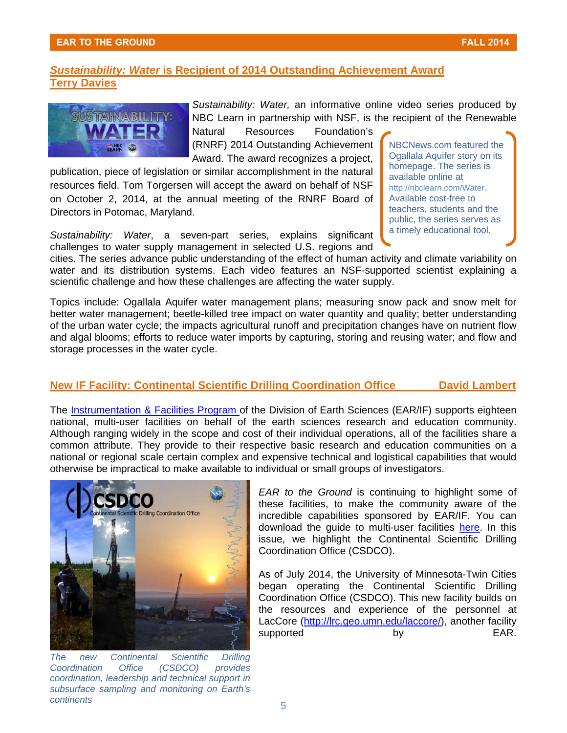### **Sustainability: Water is Recipient of 2014 Outstanding Achievement Award Terry Davies**



*Sustainability: Water,* an informative online video series produced by NBC Learn in partnership with NSF, is the recipient of the Renewable

Natural Resources Foundation's (RNRF) 2014 Outstanding Achievement NBCNews.com featured the

publication, piece of legislation or similar accomplishment in the natural available online at resources field. Tom Torgersen will accept the award on behalf of NSF http://nbclearn.com/Water. on October 2, 2014, at the annual meeting of the RNRF Board of Available cost-free to<br>Directors in Potomac Maryland Directors in Potomac, Maryland.

Sustainability: Water, a seven-part series, explains significant a <sup>timely educational tool.</sup> challenges to water supply management in selected U.S. regions and

cities. The series advance public understanding of the effect of human activity and climate variability on water and its distribution systems. Each video features an NSF-supported scientist explaining a scientific challenge and how these challenges are affecting the water supply.

Topics include: Ogallala Aquifer water management plans; measuring snow pack and snow melt for better water management; beetle-killed tree impact on water quantity and quality; better understanding of the urban water cycle; the impacts agricultural runoff and precipitation changes have on nutrient flow and algal blooms; efforts to reduce water imports by capturing, storing and reusing water; and flow and storage processes in the water cycle.

### **New IF Facility: Continental Scientific Drilling Coordination Office David Lambert**

The [Instrumentation & Facilities Program](http://www.nsf.gov/funding/pgm_summ.jsp?pims_id=6186) of the Division of Earth Sciences (EAR/IF) supports eighteen national, multi-user facilities on behalf of the earth sciences research and education community. Although ranging widely in the scope and cost of their individual operations, all of the facilities share a common attribute. They provide to their respective basic research and education communities on a national or regional scale certain complex and expensive technical and logistical capabilities that would otherwise be impractical to make available to individual or small groups of investigators.



*The new Continental Scientific Drilling Coordination Office (CSDCO) provides coordination, leadership and technical support in subsurface sampling and monitoring on Earth's continents* 

*EAR to the Ground* is continuing to highlight some of these facilities, to make the community aware of the incredible capabilities sponsored by EAR/IF. You can download the guide to multi-user facilities [here](http://www.nsf.gov/geo/ear/if/guidelines2012.pdf). In this issue, we highlight the Continental Scientific Drilling Coordination Office (CSDCO).

As of July 2014, the University of Minnesota-Twin Cities began operating the Continental Scientific Drilling Coordination Office (CSDCO). This new facility builds on the resources and experience of the personnel at LacCore (http://lrc.geo.umn.edu/laccore/), another facility supported by by EAR.

Award. The award recognizes a project, Ogallala Aquifer story on its recipit the project of the protected company of the series is public, the series serves as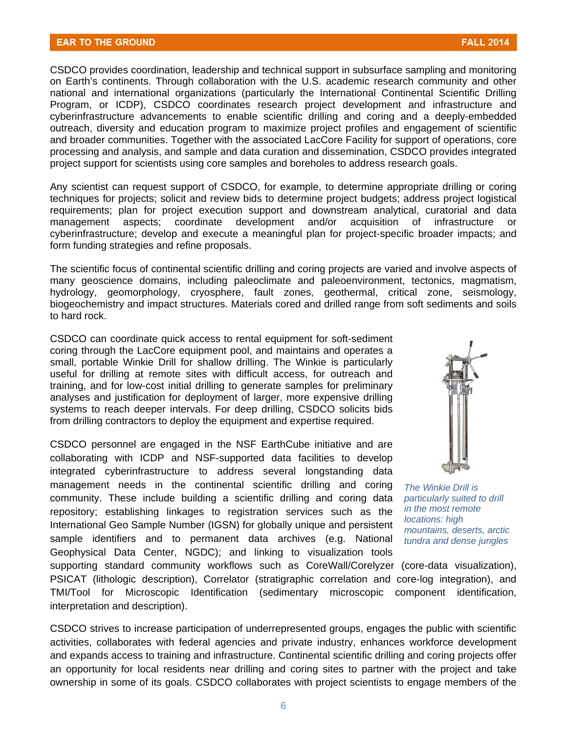CSDCO provides coordination, leadership and technical support in subsurface sampling and monitoring on Earth's continents. Through collaboration with the U.S. academic research community and other national and international organizations (particularly the International Continental Scientific Drilling Program, or ICDP), CSDCO coordinates research project development and infrastructure and cyberinfrastructure advancements to enable scientific drilling and coring and a deeply-embedded outreach, diversity and education program to maximize project profiles and engagement of scientific and broader communities. Together with the associated LacCore Facility for support of operations, core processing and analysis, and sample and data curation and dissemination, CSDCO provides integrated project support for scientists using core samples and boreholes to address research goals.

Any scientist can request support of CSDCO, for example, to determine appropriate drilling or coring techniques for projects; solicit and review bids to determine project budgets; address project logistical requirements; plan for project execution support and downstream analytical, curatorial and data management aspects; coordinate development and/or acquisition of infrastructure or cyberinfrastructure; develop and execute a meaningful plan for project-specific broader impacts; and form funding strategies and refine proposals.

to hard rock. The scientific focus of continental scientific drilling and coring projects are varied and involve aspects of many geoscience domains, including paleoclimate and paleoenvironment, tectonics, magmatism, hydrology, geomorphology, cryosphere, fault zones, geothermal, critical zone, seismology, biogeochemistry and impact structures. Materials cored and drilled range from soft sediments and soils

CSDCO can coordinate quick access to rental equipment for soft-sediment coring through the LacCore equipment pool, and maintains and operates a small, portable Winkie Drill for shallow drilling. The Winkie is particularly useful for drilling at remote sites with difficult access, for outreach and training, and for low-cost initial drilling to generate samples for preliminary analyses and justification for deployment of larger, more expensive drilling systems to reach deeper intervals. For deep drilling, CSDCO solicits bids from drilling contractors to deploy the equipment and expertise required.

CSDCO personnel are engaged in the NSF EarthCube initiative and are collaborating with ICDP and NSF-supported data facilities to develop integrated cyberinfrastructure to address several longstanding data management needs in the continental scientific drilling and coring *The Winkie Drill is*  community. These include building a scientific drilling and coring data *particularly suited to drill*  repository; establishing linkages to registration services such as the *in the most remote*<br>International Geo Sample Number (IGSN) for globally unique and persistent *locations: high*<br>mountains, deserts, arctic sample identifiers and to permanent data archives (e.g. National *tundra and dense jungles*  Geophysical Data Center, NGDC); and linking to visualization tools



supporting standard community workflows such as CoreWall/Corelyzer (core-data visualization), PSICAT (lithologic description), Correlator (stratigraphic correlation and core-log integration), and TMI/Tool for Microscopic Identification (sedimentary microscopic component identification, interpretation and description).

CSDCO strives to increase participation of underrepresented groups, engages the public with scientific activities, collaborates with federal agencies and private industry, enhances workforce development and expands access to training and infrastructure. Continental scientific drilling and coring projects offer an opportunity for local residents near drilling and coring sites to partner with the project and take ownership in some of its goals. CSDCO collaborates with project scientists to engage members of the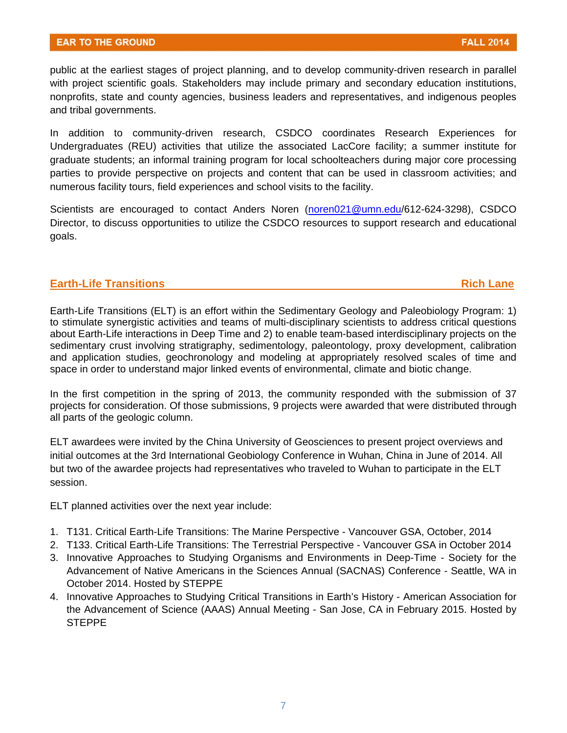public at the earliest stages of project planning, and to develop community-driven research in parallel with project scientific goals. Stakeholders may include primary and secondary education institutions, nonprofits, state and county agencies, business leaders and representatives, and indigenous peoples and tribal governments.

In addition to community-driven research, CSDCO coordinates Research Experiences for Undergraduates (REU) activities that utilize the associated LacCore facility; a summer institute for graduate students; an informal training program for local schoolteachers during major core processing parties to provide perspective on projects and content that can be used in classroom activities; and numerous facility tours, field experiences and school visits to the facility.

Scientists are encouraged to contact Anders Noren [\(noren021@umn.edu/](mailto:noren021@umn.edu)612-624-3298), CSDCO Director, to discuss opportunities to utilize the CSDCO resources to support research and educational goals.

#### **Earth-Life Transitions and Allen Contract Lane Allen Contract Lane Rich Lane**

Earth-Life Transitions (ELT) is an effort within the Sedimentary Geology and Paleobiology Program: 1) to stimulate synergistic activities and teams of multi-disciplinary scientists to address critical questions about Earth-Life interactions in Deep Time and 2) to enable team-based interdisciplinary projects on the sedimentary crust involving stratigraphy, sedimentology, paleontology, proxy development, calibration and application studies, geochronology and modeling at appropriately resolved scales of time and space in order to understand major linked events of environmental, climate and biotic change.

In the first competition in the spring of 2013, the community responded with the submission of 37 projects for consideration. Of those submissions, 9 projects were awarded that were distributed through all parts of the geologic column.

ELT awardees were invited by the China University of Geosciences to present project overviews and initial outcomes at the 3rd International Geobiology Conference in Wuhan, China in June of 2014. All but two of the awardee projects had representatives who traveled to Wuhan to participate in the ELT session.

ELT planned activities over the next year include:

- 1. T131. Critical Earth-Life Transitions: The Marine Perspective Vancouver GSA, October, 2014
- 2. T133. Critical Earth-Life Transitions: The Terrestrial Perspective Vancouver GSA in October 2014
- 3. Innovative Approaches to Studying Organisms and Environments in Deep-Time Society for the Advancement of Native Americans in the Sciences Annual (SACNAS) Conference - Seattle, WA in October 2014. Hosted by STEPPE
- 4. Innovative Approaches to Studying Critical Transitions in Earth's History American Association for the Advancement of Science (AAAS) Annual Meeting - San Jose, CA in February 2015. Hosted by **STEPPE**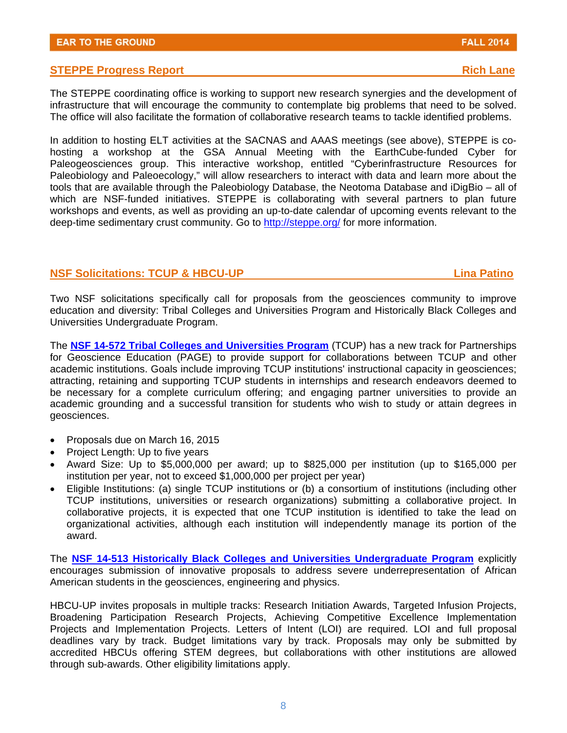#### **STEPPE Progress Report And Allen Contract Contract Contract Contract Contract Contract Contract Contract Contract Contract Contract Contract Contract Contract Contract Contract Contract Contract Contract Contract Contract**

The STEPPE coordinating office is working to support new research synergies and the development of infrastructure that will encourage the community to contemplate big problems that need to be solved. The office will also facilitate the formation of collaborative research teams to tackle identified problems.

In addition to hosting ELT activities at the SACNAS and AAAS meetings (see above), STEPPE is cohosting a workshop at the GSA Annual Meeting with the EarthCube-funded Cyber for Paleogeosciences group. This interactive workshop, entitled "Cyberinfrastructure Resources for Paleobiology and Paleoecology," will allow researchers to interact with data and learn more about the tools that are available through the Paleobiology Database, the Neotoma Database and iDigBio – all of which are NSF-funded initiatives. STEPPE is collaborating with several partners to plan future workshops and events, as well as providing an up-to-date calendar of upcoming events relevant to the deep-time sedimentary crust community. Go to http://steppe.org/ for more information.

#### **NSF Solicitations: TCUP & HBCU-UP Lina Patino**

Two NSF solicitations specifically call for proposals from the geosciences community to improve education and diversity: Tribal Colleges and Universities Program and Historically Black Colleges and Universities Undergraduate Program.

The **[NSF 14-572 Tribal Colleges and Universities Program](http://www.nsf.gov/funding/pgm_summ.jsp?pims_id=5483)** (TCUP) has a new track for Partnerships for Geoscience Education (PAGE) to provide support for collaborations between TCUP and other academic institutions. Goals include improving TCUP institutions' instructional capacity in geosciences; attracting, retaining and supporting TCUP students in internships and research endeavors deemed to be necessary for a complete curriculum offering; and engaging partner universities to provide an academic grounding and a successful transition for students who wish to study or attain degrees in geosciences.

- Proposals due on March 16, 2015
- Project Length: Up to five years
- Award Size: Up to \$5,000,000 per award; up to \$825,000 per institution (up to \$165,000 per institution per year, not to exceed \$1,000,000 per project per year)
- Eligible Institutions: (a) single TCUP institutions or (b) a consortium of institutions (including other TCUP institutions, universities or research organizations) submitting a collaborative project. In collaborative projects, it is expected that one TCUP institution is identified to take the lead on organizational activities, although each institution will independently manage its portion of the award.

The **[NSF 14-513 Historically Black Colleges and Universities Undergraduate Program](http://www.nsf.gov/funding/pgm_summ.jsp?pims_id=5481)** explicitly encourages submission of innovative proposals to address severe underrepresentation of African American students in the geosciences, engineering and physics.

HBCU-UP invites proposals in multiple tracks: Research Initiation Awards, Targeted Infusion Projects, Broadening Participation Research Projects, Achieving Competitive Excellence Implementation Projects and Implementation Projects. Letters of Intent (LOI) are required. LOI and full proposal deadlines vary by track. Budget limitations vary by track. Proposals may only be submitted by accredited HBCUs offering STEM degrees, but collaborations with other institutions are allowed through sub-awards. Other eligibility limitations apply.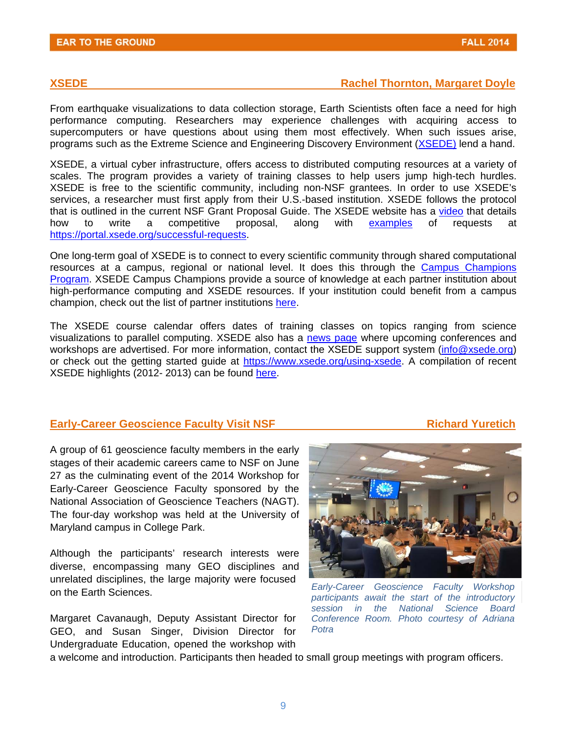#### **XSEDE Rachel Thornton, Margaret Doyle Rachel Thornton, Margaret Doyle**

From earthquake visualizations to data collection storage, Earth Scientists often face a need for high performance computing. Researchers may experience challenges with acquiring access to supercomputers or have questions about using them most effectively. When such issues arise, programs such as the Extreme Science and Engineering Discovery Environment [\(XSEDE\)](http://www.nsf.gov/cgi-bin/goodbye?https://www.xsede.org/) lend a hand.

XSEDE, a virtual cyber infrastructure, offers access to distributed computing resources at a variety of scales. The program provides a variety of training classes to help users jump high-tech hurdles. XSEDE is free to the scientific community, including non-NSF grantees. In order to use XSEDE's services, a researcher must first apply from their U.S.-based institution. XSEDE follows the protocol that is outlined in the current NSF Grant Proposal Guide. The XSEDE website has a [video t](http://www.nsf.gov/cgi-bin/goodbye?https://meeting.austin.utexas.edu/p4p2yy0hcgg)hat details how to write a competitive proposal, along with [examples](http://www.nsf.gov/cgi-bin/goodbye?https://portal.xsede.org/successful-requests) of requests at https://portal.xsede.org/successful-requests.

One long-term goal of XSEDE is to connect to every scientific community through shared computational resources at a campus, regional or national level. It does this through the [Campus Champions](http://www.nsf.gov/cgi-bin/goodbye?https://www.xsede.org/campus-champions)  [Program.](http://www.nsf.gov/cgi-bin/goodbye?https://www.xsede.org/campus-champions) XSEDE Campus Champions provide a source of knowledge at each partner institution about high-performance computing and XSEDE resources. If your institution could benefit from a campus champion, check out the list of partner institutions [here.](http://www.nsf.gov/cgi-bin/goodbye?https://www.xsede.org/resources/overview)

The XSEDE course calendar offers dates of training classes on topics ranging from science visualizations to parallel computing. XSEDE also has a [news page](http://www.nsf.gov/cgi-bin/goodbye?https://www.xsede.org/web/guest/news) where upcoming conferences and workshops are advertised. For more information, contact the XSEDE support system (info@xsede.org) or check out the getting started guide at https://www.xsede.org/using-xsede. A compilation of recent XSEDE highlights (2012- 2013) can be found [here.](http://www.nsf.gov/cgi-bin/goodbye?https://www.xsede.org/documents/10157/169907/X13_highlights.pdf)

#### **Early-Career Geoscience Faculty Visit NSF Mateur Accord Richard Yuretich Mateurs Accord Public Property Accord Public Property Accord Public Property Accord Public Property Accord Public Property Accord Public Property Ac**

A group of 61 geoscience faculty members in the early stages of their academic careers came to NSF on June 27 as the culminating event of the 2014 Workshop for Early-Career Geoscience Faculty sponsored by the National Association of Geoscience Teachers (NAGT). The four-day workshop was held at the University of Maryland campus in College Park.

Although the participants' research interests were diverse, encompassing many GEO disciplines and unrelated disciplines, the large majority were focused on the Earth Sciences.

 Undergraduate Education, opened the workshop with Margaret Cavanaugh, Deputy Assistant Director for GEO, and Susan Singer, Division Director for



*Early-Career Geoscience Faculty Workshop participants await the start of the introductory session in the National Science Board Conference Room. Photo courtesy of Adriana Potra* 

a welcome and introduction. Participants then headed to small group meetings with program officers.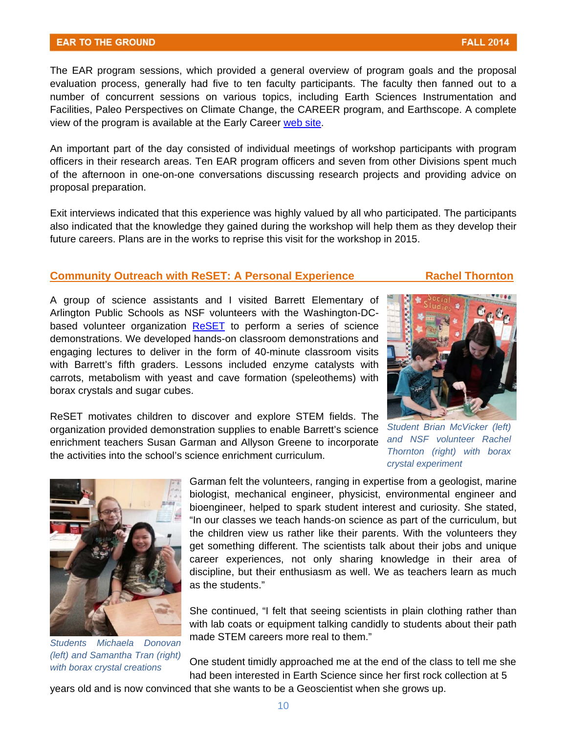#### **EAR TO THE GROUND**

The EAR program sessions, which provided a general overview of program goals and the proposal evaluation process, generally had five to ten faculty participants. The faculty then fanned out to a number of concurrent sessions on various topics, including Earth Sciences Instrumentation and Facilities, Paleo Perspectives on Climate Change, the CAREER program, and Earthscope. A complete view of the program is available at the Early Career [web site.](http://www.nsf.gov/cgi-bin/goodbye?http://serc.carleton.edu/NAGTWorkshops/earlycareer2014/nsf_visit.html)

An important part of the day consisted of individual meetings of workshop participants with program officers in their research areas. Ten EAR program officers and seven from other Divisions spent much of the afternoon in one-on-one conversations discussing research projects and providing advice on proposal preparation.

Exit interviews indicated that this experience was highly valued by all who participated. The participants also indicated that the knowledge they gained during the workshop will help them as they develop their future careers. Plans are in the works to reprise this visit for the workshop in 2015.

#### **Community Outreach with ReSET: A Personal Experience Thornton Rachel Thornton**

A group of science assistants and I visited Barrett Elementary of Arlington Public Schools as NSF volunteers with the Washington-DC-based volunteer organization [ReSET](http://www.nsf.gov/cgi-bin/goodbye?http://resetonline.org/) to perform a series of science demonstrations. We developed hands-on classroom demonstrations and engaging lectures to deliver in the form of 40-minute classroom visits with Barrett's fifth graders. Lessons included enzyme catalysts with carrots, metabolism with yeast and cave formation (speleothems) with borax crystals and sugar cubes.

> *Student Brian McVicker (left) and NSF volunteer Rachel Thornton (right) with borax crystal experiment*

the activities into the school's science enrichment curriculum. ReSET motivates children to discover and explore STEM fields. The organization provided demonstration supplies to enable Barrett's science enrichment teachers Susan Garman and Allyson Greene to incorporate

> Garman felt the volunteers, ranging in expertise from a geologist, marine biologist, mechanical engineer, physicist, environmental engineer and bioengineer, helped to spark student interest and curiosity. She stated, "In our classes we teach hands-on science as part of the curriculum, but the children view us rather like their parents. With the volunteers they get something different. The scientists talk about their jobs and unique career experiences, not only sharing knowledge in their area of discipline, but their enthusiasm as well. We as teachers learn as much as the students."

She continued, "I felt that seeing scientists in plain clothing rather than with lab coats or equipment talking candidly to students about their path made STEM careers more real to them." *Students Michaela Donovan* 

*with borax crystal creations* One student timidly approached me at the end of the class to tell me she with borax crystal creations had been interested in Earth Science since her first rock collection at 5

years old and is now convinced that she wants to be a Geoscientist when she grows up.



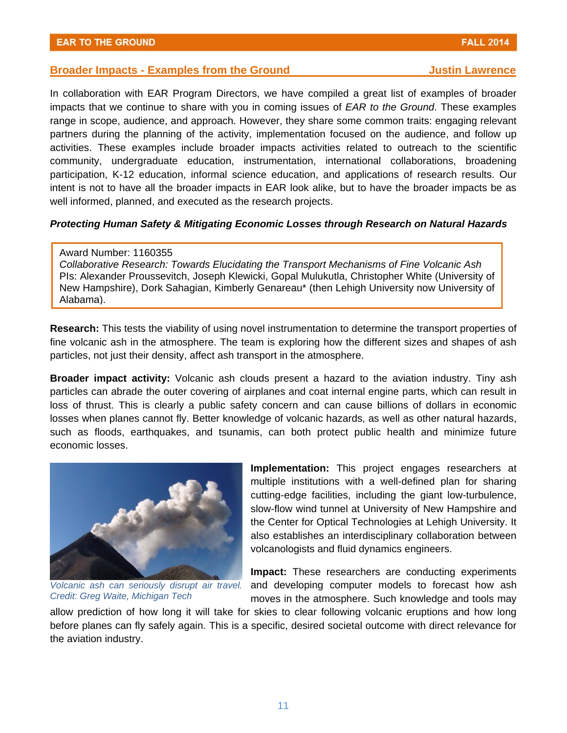In collaboration with EAR Program Directors, we have compiled a great list of examples of broader impacts that we continue to share with you in coming issues of *EAR to the Ground*. These examples range in scope, audience, and approach. However, they share some common traits: engaging relevant partners during the planning of the activity, implementation focused on the audience, and follow up activities. These examples include broader impacts activities related to outreach to the scientific community, undergraduate education, instrumentation, international collaborations, broadening participation, K-12 education, informal science education, and applications of research results. Our intent is not to have all the broader impacts in EAR look alike, but to have the broader impacts be as well informed, planned, and executed as the research projects.

#### *Protecting Human Safety & Mitigating Economic Losses through Research on Natural Hazards*

#### Award Number: 1160355

*Collaborative Research: Towards Elucidating the Transport Mechanisms of Fine Volcanic Ash*  PIs: Alexander Proussevitch, Joseph Klewicki, Gopal Mulukutla, Christopher White (University of New Hampshire), Dork Sahagian, Kimberly Genareau\* (then Lehigh University now University of Alabama).

**Research:** This tests the viability of using novel instrumentation to determine the transport properties of fine volcanic ash in the atmosphere. The team is exploring how the different sizes and shapes of ash particles, not just their density, affect ash transport in the atmosphere.

**Broader impact activity:** Volcanic ash clouds present a hazard to the aviation industry. Tiny ash particles can abrade the outer covering of airplanes and coat internal engine parts, which can result in loss of thrust. This is clearly a public safety concern and can cause billions of dollars in economic losses when planes cannot fly. Better knowledge of volcanic hazards, as well as other natural hazards, such as floods, earthquakes, and tsunamis, can both protect public health and minimize future economic losses.

*Volcanic ash can seriously disrupt air travel. Credit: Greg Waite, Michigan Tech* 

**Implementation:** This project engages researchers at multiple institutions with a well-defined plan for sharing cutting-edge facilities, including the giant low-turbulence, slow-flow wind tunnel at University of New Hampshire and the Center for Optical Technologies at Lehigh University. It also establishes an interdisciplinary collaboration between volcanologists and fluid dynamics engineers.

**Impact:** These researchers are conducting experiments and developing computer models to forecast how ash moves in the atmosphere. Such knowledge and tools may

allow prediction of how long it will take for skies to clear following volcanic eruptions and how long before planes can fly safely again. This is a specific, desired societal outcome with direct relevance for the aviation industry.



**FALL 2014**